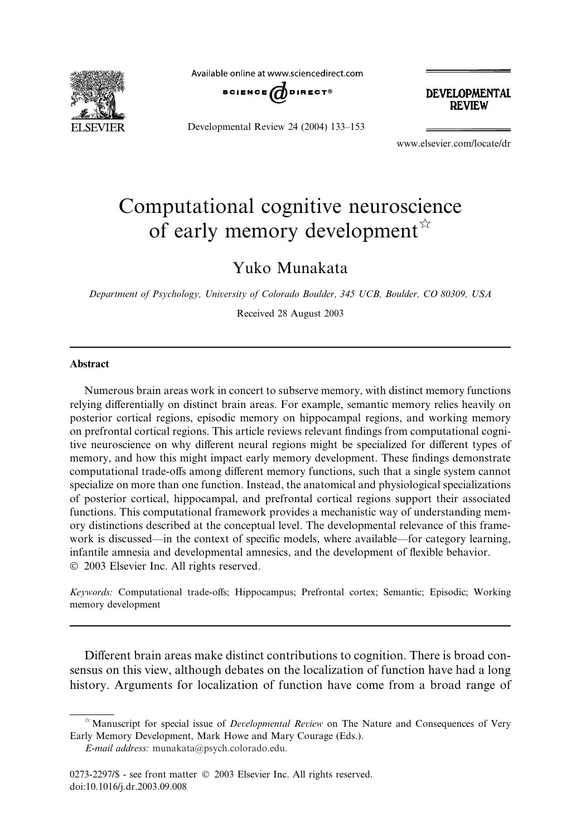

Available online at www.sciencedirect.com



**DEVELOPMENTAL REVIEW** 

Developmental Review 24 (2004) 133–153

www.elsevier.com/locate/dr

# Computational cognitive neuroscience of early memory development  $\mathbb{R}^{\mathbb{Z}}$

Yuko Munakata

Department of Psychology, University of Colorado Boulder, 345 UCB, Boulder, CO 80309, USA

Received 28 August 2003

#### Abstract

Numerous brain areas work in concert to subserve memory, with distinct memory functions relying differentially on distinct brain areas. For example, semantic memory relies heavily on posterior cortical regions, episodic memory on hippocampal regions, and working memory on prefrontal cortical regions. This article reviews relevant findings from computational cognitive neuroscience on why different neural regions might be specialized for different types of memory, and how this might impact early memory development. These findings demonstrate computational trade-offs among different memory functions, such that a single system cannot specialize on more than one function. Instead, the anatomical and physiological specializations of posterior cortical, hippocampal, and prefrontal cortical regions support their associated functions. This computational framework provides a mechanistic way of understanding memory distinctions described at the conceptual level. The developmental relevance of this framework is discussed—in the context of specific models, where available—for category learning, infantile amnesia and developmental amnesics, and the development of flexible behavior. 2003 Elsevier Inc. All rights reserved.

Keywords: Computational trade-offs; Hippocampus; Prefrontal cortex; Semantic; Episodic; Working memory development

Different brain areas make distinct contributions to cognition. There is broad consensus on this view, although debates on the localization of function have had a long history. Arguments for localization of function have come from a broad range of

 $\dot{\phi}$  Manuscript for special issue of *Developmental Review* on The Nature and Consequences of Very Early Memory Development, Mark Howe and Mary Courage (Eds.).

E-mail address: [munakata@psych.colorado.edu.](mail to: munakata@psych.colorado.edu)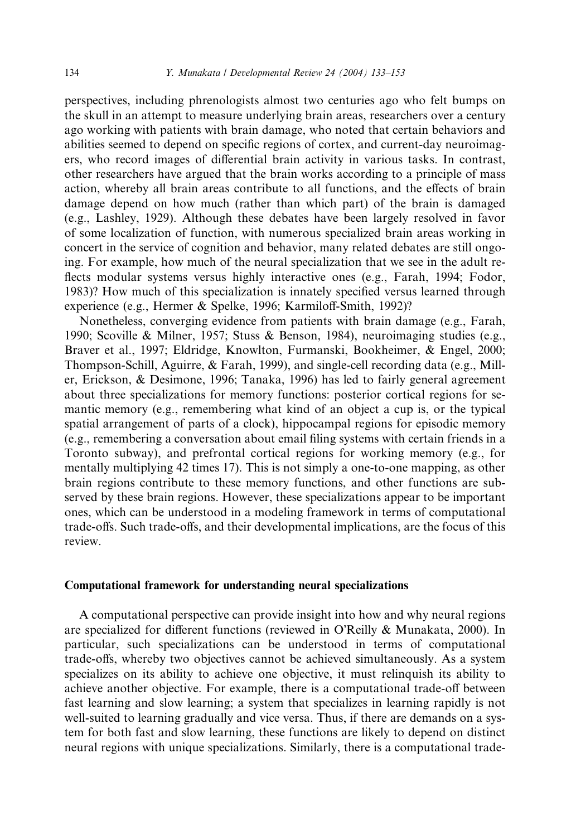perspectives, including phrenologists almost two centuries ago who felt bumps on the skull in an attempt to measure underlying brain areas, researchers over a century ago working with patients with brain damage, who noted that certain behaviors and abilities seemed to depend on specific regions of cortex, and current-day neuroimagers, who record images of differential brain activity in various tasks. In contrast, other researchers have argued that the brain works according to a principle of mass action, whereby all brain areas contribute to all functions, and the effects of brain damage depend on how much (rather than which part) of the brain is damaged (e.g., Lashley, 1929). Although these debates have been largely resolved in favor of some localization of function, with numerous specialized brain areas working in concert in the service of cognition and behavior, many related debates are still ongoing. For example, how much of the neural specialization that we see in the adult reflects modular systems versus highly interactive ones (e.g., Farah, 1994; Fodor, 1983)? How much of this specialization is innately specified versus learned through experience (e.g., Hermer & Spelke, 1996; Karmiloff-Smith, 1992)?

Nonetheless, converging evidence from patients with brain damage (e.g., Farah, 1990; Scoville & Milner, 1957; Stuss & Benson, 1984), neuroimaging studies (e.g., Braver et al., 1997; Eldridge, Knowlton, Furmanski, Bookheimer, & Engel, 2000; Thompson-Schill, Aguirre, & Farah, 1999), and single-cell recording data (e.g., Miller, Erickson, & Desimone, 1996; Tanaka, 1996) has led to fairly general agreement about three specializations for memory functions: posterior cortical regions for semantic memory (e.g., remembering what kind of an object a cup is, or the typical spatial arrangement of parts of a clock), hippocampal regions for episodic memory (e.g., remembering a conversation about email filing systems with certain friends in a Toronto subway), and prefrontal cortical regions for working memory (e.g., for mentally multiplying 42 times 17). This is not simply a one-to-one mapping, as other brain regions contribute to these memory functions, and other functions are subserved by these brain regions. However, these specializations appear to be important ones, which can be understood in a modeling framework in terms of computational trade-offs. Such trade-offs, and their developmental implications, are the focus of this review.

## Computational framework for understanding neural specializations

A computational perspective can provide insight into how and why neural regions are specialized for different functions (reviewed in O'Reilly & Munakata, 2000). In particular, such specializations can be understood in terms of computational trade-offs, whereby two objectives cannot be achieved simultaneously. As a system specializes on its ability to achieve one objective, it must relinquish its ability to achieve another objective. For example, there is a computational trade-off between fast learning and slow learning; a system that specializes in learning rapidly is not well-suited to learning gradually and vice versa. Thus, if there are demands on a system for both fast and slow learning, these functions are likely to depend on distinct neural regions with unique specializations. Similarly, there is a computational trade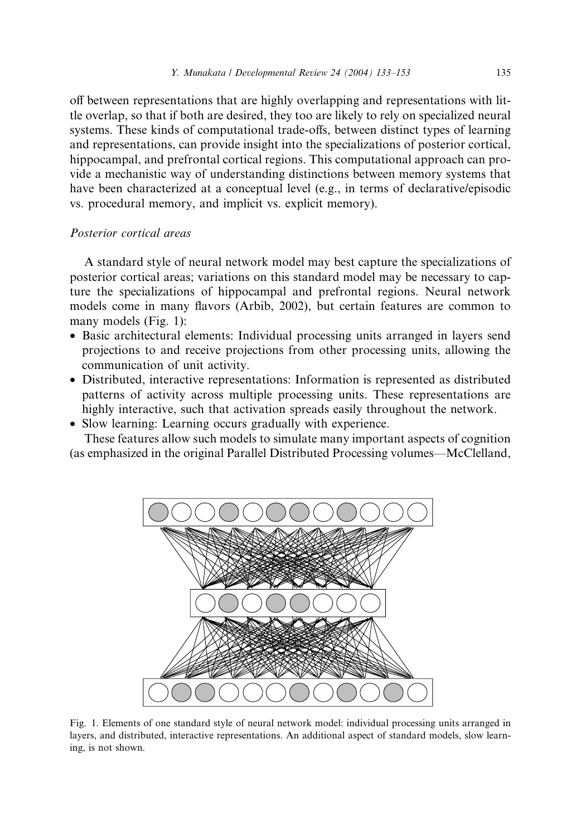off between representations that are highly overlapping and representations with little overlap, so that if both are desired, they too are likely to rely on specialized neural systems. These kinds of computational trade-offs, between distinct types of learning and representations, can provide insight into the specializations of posterior cortical, hippocampal, and prefrontal cortical regions. This computational approach can provide a mechanistic way of understanding distinctions between memory systems that have been characterized at a conceptual level (e.g., in terms of declarative/episodic vs. procedural memory, and implicit vs. explicit memory).

# Posterior cortical areas

A standard style of neural network model may best capture the specializations of posterior cortical areas; variations on this standard model may be necessary to capture the specializations of hippocampal and prefrontal regions. Neural network models come in many flavors (Arbib, 2002), but certain features are common to many models (Fig. 1):

- Basic architectural elements: Individual processing units arranged in layers send projections to and receive projections from other processing units, allowing the communication of unit activity.
- Distributed, interactive representations: Information is represented as distributed patterns of activity across multiple processing units. These representations are highly interactive, such that activation spreads easily throughout the network.
- Slow learning: Learning occurs gradually with experience.

These features allow such models to simulate many important aspects of cognition (as emphasized in the original Parallel Distributed Processing volumes—McClelland,



Fig. 1. Elements of one standard style of neural network model: individual processing units arranged in layers, and distributed, interactive representations. An additional aspect of standard models, slow learning, is not shown.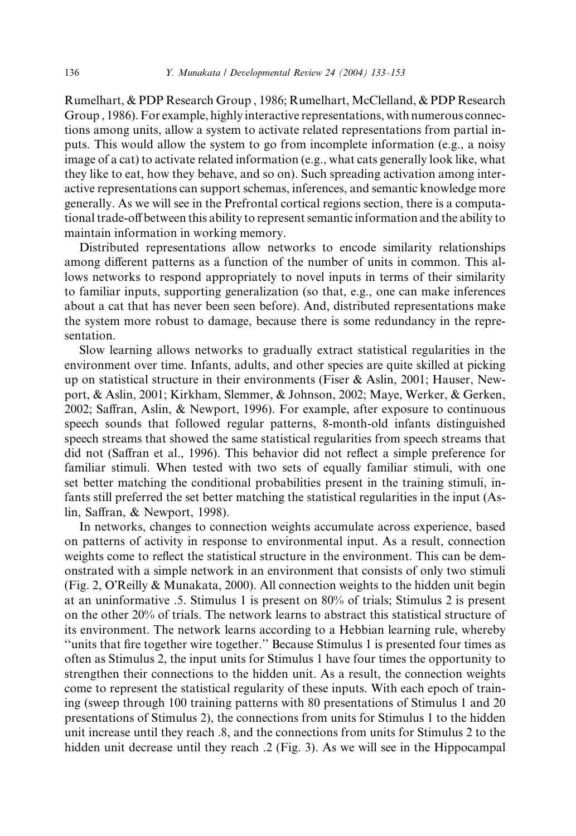Rumelhart, & PDP Research Group , 1986; Rumelhart, McClelland, & PDP Research Group , 1986). For example, highly interactive representations, with numerous connections among units, allow a system to activate related representations from partial inputs. This would allow the system to go from incomplete information (e.g., a noisy image of a cat) to activate related information (e.g., what cats generally look like, what they like to eat, how they behave, and so on). Such spreading activation among interactive representations can support schemas, inferences, and semantic knowledge more generally. As we will see in the Prefrontal cortical regions section, there is a computational trade-off between this ability to represent semantic information and the ability to maintain information in working memory.

Distributed representations allow networks to encode similarity relationships among different patterns as a function of the number of units in common. This allows networks to respond appropriately to novel inputs in terms of their similarity to familiar inputs, supporting generalization (so that, e.g., one can make inferences about a cat that has never been seen before). And, distributed representations make the system more robust to damage, because there is some redundancy in the representation.

Slow learning allows networks to gradually extract statistical regularities in the environment over time. Infants, adults, and other species are quite skilled at picking up on statistical structure in their environments (Fiser & Aslin, 2001; Hauser, Newport, & Aslin, 2001; Kirkham, Slemmer, & Johnson, 2002; Maye, Werker, & Gerken, 2002; Saffran, Aslin, & Newport, 1996). For example, after exposure to continuous speech sounds that followed regular patterns, 8-month-old infants distinguished speech streams that showed the same statistical regularities from speech streams that did not (Saffran et al., 1996). This behavior did not reflect a simple preference for familiar stimuli. When tested with two sets of equally familiar stimuli, with one set better matching the conditional probabilities present in the training stimuli, infants still preferred the set better matching the statistical regularities in the input (Aslin, Saffran, & Newport, 1998).

In networks, changes to connection weights accumulate across experience, based on patterns of activity in response to environmental input. As a result, connection weights come to reflect the statistical structure in the environment. This can be demonstrated with a simple network in an environment that consists of only two stimuli (Fig. 2, O'Reilly & Munakata, 2000). All connection weights to the hidden unit begin at an uninformative .5. Stimulus 1 is present on 80% of trials; Stimulus 2 is present on the other 20% of trials. The network learns to abstract this statistical structure of its environment. The network learns according to a Hebbian learning rule, whereby ''units that fire together wire together.'' Because Stimulus 1 is presented four times as often as Stimulus 2, the input units for Stimulus 1 have four times the opportunity to strengthen their connections to the hidden unit. As a result, the connection weights come to represent the statistical regularity of these inputs. With each epoch of training (sweep through 100 training patterns with 80 presentations of Stimulus 1 and 20 presentations of Stimulus 2), the connections from units for Stimulus 1 to the hidden unit increase until they reach .8, and the connections from units for Stimulus 2 to the hidden unit decrease until they reach .2 (Fig. 3). As we will see in the Hippocampal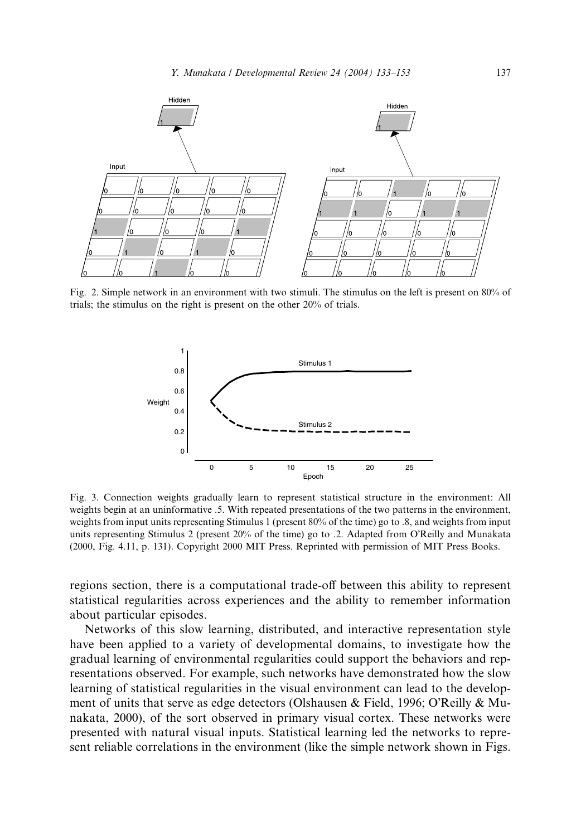

Fig. 2. Simple network in an environment with two stimuli. The stimulus on the left is present on 80% of trials; the stimulus on the right is present on the other 20% of trials.



Fig. 3. Connection weights gradually learn to represent statistical structure in the environment: All weights begin at an uninformative .5. With repeated presentations of the two patterns in the environment, weights from input units representing Stimulus 1 (present 80% of the time) go to .8, and weights from input units representing Stimulus 2 (present 20% of the time) go to .2. Adapted from OReilly and Munakata (2000, Fig. 4.11, p. 131). Copyright 2000 MIT Press. Reprinted with permission of MIT Press Books.

regions section, there is a computational trade-off between this ability to represent statistical regularities across experiences and the ability to remember information about particular episodes.

Networks of this slow learning, distributed, and interactive representation style have been applied to a variety of developmental domains, to investigate how the gradual learning of environmental regularities could support the behaviors and representations observed. For example, such networks have demonstrated how the slow learning of statistical regularities in the visual environment can lead to the development of units that serve as edge detectors (Olshausen & Field, 1996; O'Reilly & Munakata, 2000), of the sort observed in primary visual cortex. These networks were presented with natural visual inputs. Statistical learning led the networks to represent reliable correlations in the environment (like the simple network shown in Figs.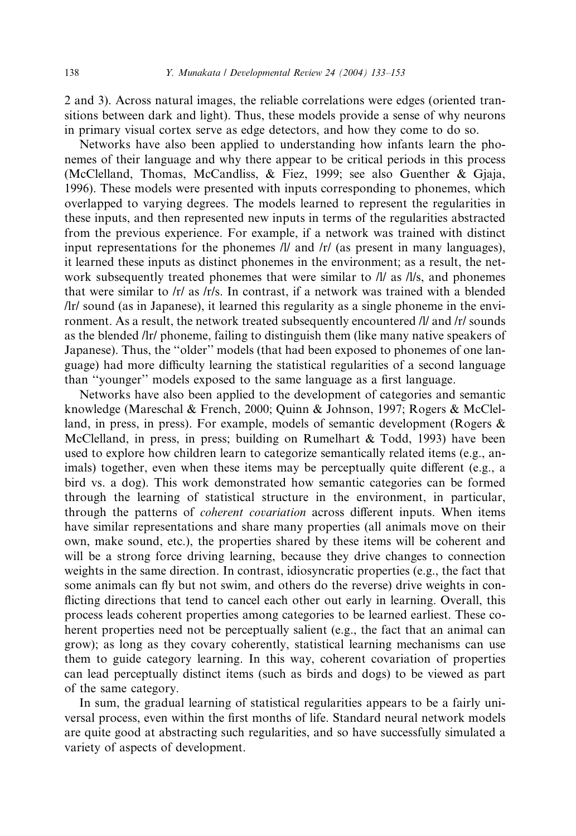2 and 3). Across natural images, the reliable correlations were edges (oriented transitions between dark and light). Thus, these models provide a sense of why neurons in primary visual cortex serve as edge detectors, and how they come to do so.

Networks have also been applied to understanding how infants learn the phonemes of their language and why there appear to be critical periods in this process (McClelland, Thomas, McCandliss, & Fiez, 1999; see also Guenther & Gjaja, 1996). These models were presented with inputs corresponding to phonemes, which overlapped to varying degrees. The models learned to represent the regularities in these inputs, and then represented new inputs in terms of the regularities abstracted from the previous experience. For example, if a network was trained with distinct input representations for the phonemes /l/ and /r/ (as present in many languages), it learned these inputs as distinct phonemes in the environment; as a result, the network subsequently treated phonemes that were similar to  $/I/$  as  $/I/s$ , and phonemes that were similar to /r/ as /r/s. In contrast, if a network was trained with a blended /lr/ sound (as in Japanese), it learned this regularity as a single phoneme in the environment. As a result, the network treated subsequently encountered /l/ and /r/ sounds as the blended /lr/ phoneme, failing to distinguish them (like many native speakers of Japanese). Thus, the ''older'' models (that had been exposed to phonemes of one language) had more difficulty learning the statistical regularities of a second language than ''younger'' models exposed to the same language as a first language.

Networks have also been applied to the development of categories and semantic knowledge (Mareschal & French, 2000; Quinn & Johnson, 1997; Rogers & McClelland, in press, in press). For example, models of semantic development (Rogers & McClelland, in press, in press; building on Rumelhart & Todd, 1993) have been used to explore how children learn to categorize semantically related items (e.g., animals) together, even when these items may be perceptually quite different (e.g., a bird vs. a dog). This work demonstrated how semantic categories can be formed through the learning of statistical structure in the environment, in particular, through the patterns of coherent covariation across different inputs. When items have similar representations and share many properties (all animals move on their own, make sound, etc.), the properties shared by these items will be coherent and will be a strong force driving learning, because they drive changes to connection weights in the same direction. In contrast, idiosyncratic properties (e.g., the fact that some animals can fly but not swim, and others do the reverse) drive weights in conflicting directions that tend to cancel each other out early in learning. Overall, this process leads coherent properties among categories to be learned earliest. These coherent properties need not be perceptually salient (e.g., the fact that an animal can grow); as long as they covary coherently, statistical learning mechanisms can use them to guide category learning. In this way, coherent covariation of properties can lead perceptually distinct items (such as birds and dogs) to be viewed as part of the same category.

In sum, the gradual learning of statistical regularities appears to be a fairly universal process, even within the first months of life. Standard neural network models are quite good at abstracting such regularities, and so have successfully simulated a variety of aspects of development.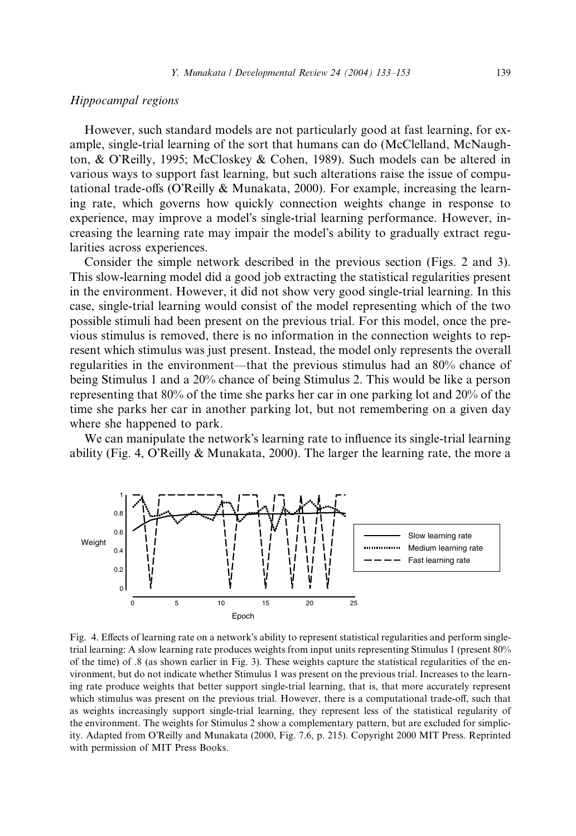### Hippocampal regions

However, such standard models are not particularly good at fast learning, for example, single-trial learning of the sort that humans can do (McClelland, McNaughton, & O'Reilly, 1995; McCloskey & Cohen, 1989). Such models can be altered in various ways to support fast learning, but such alterations raise the issue of computational trade-offs (O'Reilly  $\&$  Munakata, 2000). For example, increasing the learning rate, which governs how quickly connection weights change in response to experience, may improve a model's single-trial learning performance. However, increasing the learning rate may impair the model's ability to gradually extract regularities across experiences.

Consider the simple network described in the previous section (Figs. 2 and 3). This slow-learning model did a good job extracting the statistical regularities present in the environment. However, it did not show very good single-trial learning. In this case, single-trial learning would consist of the model representing which of the two possible stimuli had been present on the previous trial. For this model, once the previous stimulus is removed, there is no information in the connection weights to represent which stimulus was just present. Instead, the model only represents the overall regularities in the environment—that the previous stimulus had an 80% chance of being Stimulus 1 and a 20% chance of being Stimulus 2. This would be like a person representing that 80% of the time she parks her car in one parking lot and 20% of the time she parks her car in another parking lot, but not remembering on a given day where she happened to park.

We can manipulate the network's learning rate to influence its single-trial learning ability (Fig. 4, O'Reilly  $\&$  Munakata, 2000). The larger the learning rate, the more a



Fig. 4. Effects of learning rate on a network's ability to represent statistical regularities and perform singletrial learning: A slow learning rate produces weights from input units representing Stimulus 1 (present 80% of the time) of .8 (as shown earlier in Fig. 3). These weights capture the statistical regularities of the environment, but do not indicate whether Stimulus 1 was present on the previous trial. Increases to the learning rate produce weights that better support single-trial learning, that is, that more accurately represent which stimulus was present on the previous trial. However, there is a computational trade-off, such that as weights increasingly support single-trial learning, they represent less of the statistical regularity of the environment. The weights for Stimulus 2 show a complementary pattern, but are excluded for simplicity. Adapted from OReilly and Munakata (2000, Fig. 7.6, p. 215). Copyright 2000 MIT Press. Reprinted with permission of MIT Press Books.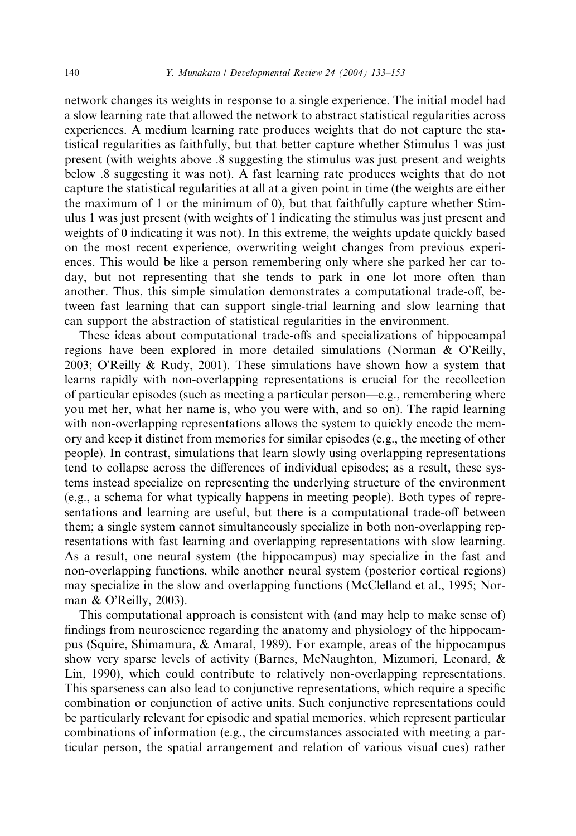network changes its weights in response to a single experience. The initial model had a slow learning rate that allowed the network to abstract statistical regularities across experiences. A medium learning rate produces weights that do not capture the statistical regularities as faithfully, but that better capture whether Stimulus 1 was just present (with weights above .8 suggesting the stimulus was just present and weights below .8 suggesting it was not). A fast learning rate produces weights that do not capture the statistical regularities at all at a given point in time (the weights are either the maximum of 1 or the minimum of 0), but that faithfully capture whether Stimulus 1 was just present (with weights of 1 indicating the stimulus was just present and weights of 0 indicating it was not). In this extreme, the weights update quickly based on the most recent experience, overwriting weight changes from previous experiences. This would be like a person remembering only where she parked her car today, but not representing that she tends to park in one lot more often than another. Thus, this simple simulation demonstrates a computational trade-off, between fast learning that can support single-trial learning and slow learning that can support the abstraction of statistical regularities in the environment.

These ideas about computational trade-offs and specializations of hippocampal regions have been explored in more detailed simulations (Norman  $\&$  O'Reilly, 2003; OReilly & Rudy, 2001). These simulations have shown how a system that learns rapidly with non-overlapping representations is crucial for the recollection of particular episodes (such as meeting a particular person—e.g., remembering where you met her, what her name is, who you were with, and so on). The rapid learning with non-overlapping representations allows the system to quickly encode the memory and keep it distinct from memories for similar episodes (e.g., the meeting of other people). In contrast, simulations that learn slowly using overlapping representations tend to collapse across the differences of individual episodes; as a result, these systems instead specialize on representing the underlying structure of the environment (e.g., a schema for what typically happens in meeting people). Both types of representations and learning are useful, but there is a computational trade-off between them; a single system cannot simultaneously specialize in both non-overlapping representations with fast learning and overlapping representations with slow learning. As a result, one neural system (the hippocampus) may specialize in the fast and non-overlapping functions, while another neural system (posterior cortical regions) may specialize in the slow and overlapping functions (McClelland et al., 1995; Norman  $& O'Reilly, 2003).$ 

This computational approach is consistent with (and may help to make sense of) findings from neuroscience regarding the anatomy and physiology of the hippocampus (Squire, Shimamura, & Amaral, 1989). For example, areas of the hippocampus show very sparse levels of activity (Barnes, McNaughton, Mizumori, Leonard, & Lin, 1990), which could contribute to relatively non-overlapping representations. This sparseness can also lead to conjunctive representations, which require a specific combination or conjunction of active units. Such conjunctive representations could be particularly relevant for episodic and spatial memories, which represent particular combinations of information (e.g., the circumstances associated with meeting a particular person, the spatial arrangement and relation of various visual cues) rather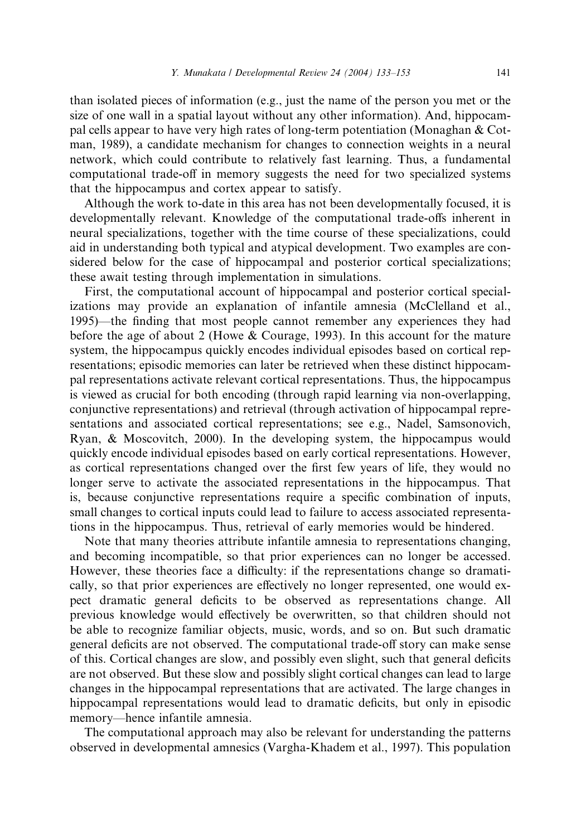than isolated pieces of information (e.g., just the name of the person you met or the size of one wall in a spatial layout without any other information). And, hippocampal cells appear to have very high rates of long-term potentiation (Monaghan & Cotman, 1989), a candidate mechanism for changes to connection weights in a neural network, which could contribute to relatively fast learning. Thus, a fundamental computational trade-off in memory suggests the need for two specialized systems that the hippocampus and cortex appear to satisfy.

Although the work to-date in this area has not been developmentally focused, it is developmentally relevant. Knowledge of the computational trade-offs inherent in neural specializations, together with the time course of these specializations, could aid in understanding both typical and atypical development. Two examples are considered below for the case of hippocampal and posterior cortical specializations; these await testing through implementation in simulations.

First, the computational account of hippocampal and posterior cortical specializations may provide an explanation of infantile amnesia (McClelland et al., 1995)—the finding that most people cannot remember any experiences they had before the age of about 2 (Howe & Courage, 1993). In this account for the mature system, the hippocampus quickly encodes individual episodes based on cortical representations; episodic memories can later be retrieved when these distinct hippocampal representations activate relevant cortical representations. Thus, the hippocampus is viewed as crucial for both encoding (through rapid learning via non-overlapping, conjunctive representations) and retrieval (through activation of hippocampal representations and associated cortical representations; see e.g., Nadel, Samsonovich, Ryan, & Moscovitch, 2000). In the developing system, the hippocampus would quickly encode individual episodes based on early cortical representations. However, as cortical representations changed over the first few years of life, they would no longer serve to activate the associated representations in the hippocampus. That is, because conjunctive representations require a specific combination of inputs, small changes to cortical inputs could lead to failure to access associated representations in the hippocampus. Thus, retrieval of early memories would be hindered.

Note that many theories attribute infantile amnesia to representations changing, and becoming incompatible, so that prior experiences can no longer be accessed. However, these theories face a difficulty: if the representations change so dramatically, so that prior experiences are effectively no longer represented, one would expect dramatic general deficits to be observed as representations change. All previous knowledge would effectively be overwritten, so that children should not be able to recognize familiar objects, music, words, and so on. But such dramatic general deficits are not observed. The computational trade-off story can make sense of this. Cortical changes are slow, and possibly even slight, such that general deficits are not observed. But these slow and possibly slight cortical changes can lead to large changes in the hippocampal representations that are activated. The large changes in hippocampal representations would lead to dramatic deficits, but only in episodic memory—hence infantile amnesia.

The computational approach may also be relevant for understanding the patterns observed in developmental amnesics (Vargha-Khadem et al., 1997). This population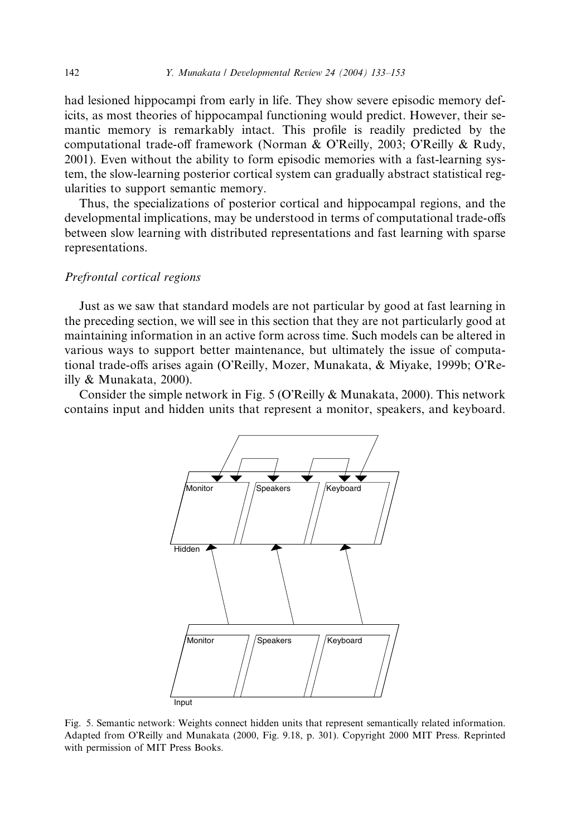had lesioned hippocampi from early in life. They show severe episodic memory deficits, as most theories of hippocampal functioning would predict. However, their semantic memory is remarkably intact. This profile is readily predicted by the computational trade-off framework (Norman & O'Reilly, 2003; O'Reilly & Rudy, 2001). Even without the ability to form episodic memories with a fast-learning system, the slow-learning posterior cortical system can gradually abstract statistical regularities to support semantic memory.

Thus, the specializations of posterior cortical and hippocampal regions, and the developmental implications, may be understood in terms of computational trade-offs between slow learning with distributed representations and fast learning with sparse representations.

### Prefrontal cortical regions

Just as we saw that standard models are not particular by good at fast learning in the preceding section, we will see in this section that they are not particularly good at maintaining information in an active form across time. Such models can be altered in various ways to support better maintenance, but ultimately the issue of computational trade-offs arises again (OReilly, Mozer, Munakata, & Miyake, 1999b; OReilly & Munakata, 2000).

Consider the simple network in Fig. 5 (O'Reilly  $& Munakata, 2000$ ). This network contains input and hidden units that represent a monitor, speakers, and keyboard.



Fig. 5. Semantic network: Weights connect hidden units that represent semantically related information. Adapted from OReilly and Munakata (2000, Fig. 9.18, p. 301). Copyright 2000 MIT Press. Reprinted with permission of MIT Press Books.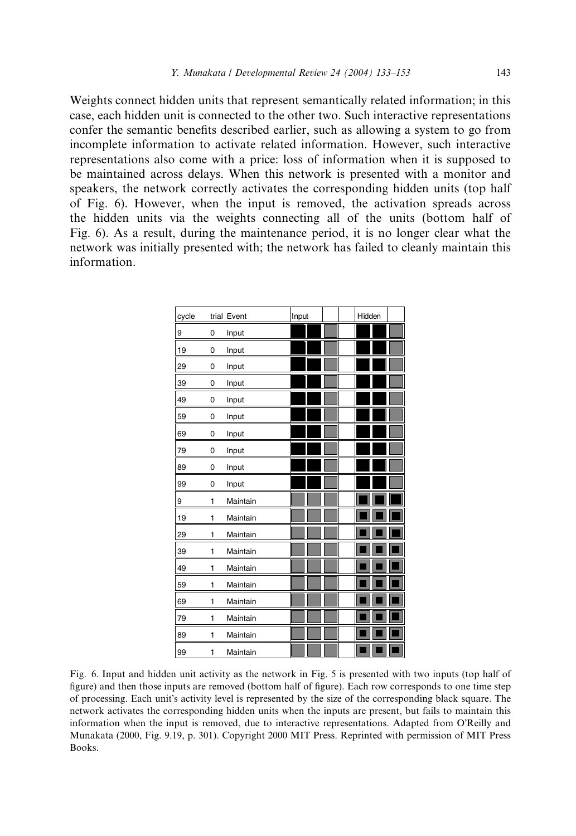Weights connect hidden units that represent semantically related information; in this case, each hidden unit is connected to the other two. Such interactive representations confer the semantic benefits described earlier, such as allowing a system to go from incomplete information to activate related information. However, such interactive representations also come with a price: loss of information when it is supposed to be maintained across delays. When this network is presented with a monitor and speakers, the network correctly activates the corresponding hidden units (top half of Fig. 6). However, when the input is removed, the activation spreads across the hidden units via the weights connecting all of the units (bottom half of Fig. 6). As a result, during the maintenance period, it is no longer clear what the network was initially presented with; the network has failed to cleanly maintain this information.

| cycle | trial Event |          | Input | Hidden |  |
|-------|-------------|----------|-------|--------|--|
| 9     | 0           | Input    |       |        |  |
| 19    | 0           | Input    |       |        |  |
| 29    | 0           | Input    |       |        |  |
| 39    | 0           | Input    |       |        |  |
| 49    | 0           | Input    |       |        |  |
| 59    | 0           | Input    |       |        |  |
| 69    | 0           | Input    |       |        |  |
| 79    | 0           | Input    |       |        |  |
| 89    | $\mathbf 0$ | Input    |       |        |  |
| 99    | 0           | Input    |       |        |  |
| 9     | 1           | Maintain |       |        |  |
| 19    | 1           | Maintain |       |        |  |
| 29    | 1           | Maintain |       |        |  |
| 39    | 1           | Maintain |       |        |  |
| 49    | 1           | Maintain |       |        |  |
| 59    | 1           | Maintain |       |        |  |
| 69    | 1           | Maintain |       |        |  |
| 79    | 1           | Maintain |       |        |  |
| 89    | 1           | Maintain |       |        |  |
| 99    | 1           | Maintain |       |        |  |

Fig. 6. Input and hidden unit activity as the network in Fig. 5 is presented with two inputs (top half of figure) and then those inputs are removed (bottom half of figure). Each row corresponds to one time step of processing. Each units activity level is represented by the size of the corresponding black square. The network activates the corresponding hidden units when the inputs are present, but fails to maintain this information when the input is removed, due to interactive representations. Adapted from O'Reilly and Munakata (2000, Fig. 9.19, p. 301). Copyright 2000 MIT Press. Reprinted with permission of MIT Press Books.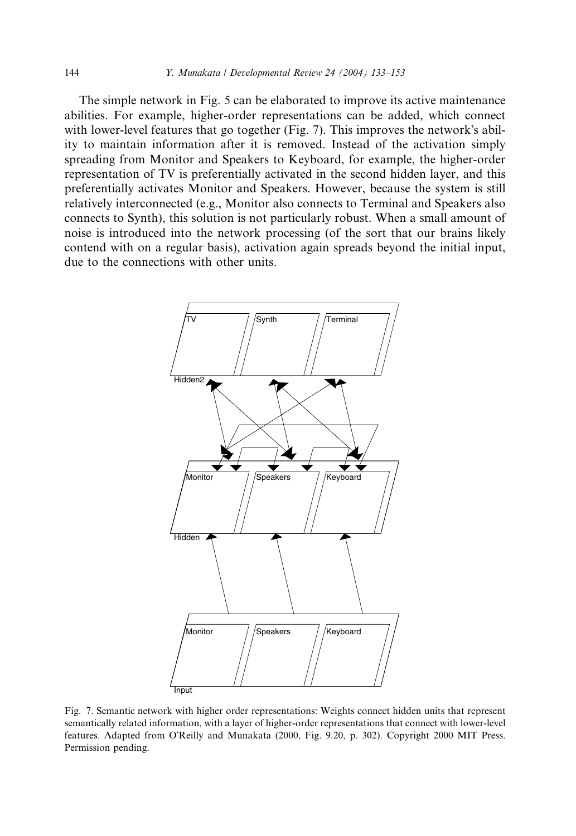#### 144 Y. Munakata / Developmental Review 24 (2004) 133–153

The simple network in Fig. 5 can be elaborated to improve its active maintenance abilities. For example, higher-order representations can be added, which connect with lower-level features that go together (Fig. 7). This improves the network's ability to maintain information after it is removed. Instead of the activation simply spreading from Monitor and Speakers to Keyboard, for example, the higher-order representation of TV is preferentially activated in the second hidden layer, and this preferentially activates Monitor and Speakers. However, because the system is still relatively interconnected (e.g., Monitor also connects to Terminal and Speakers also connects to Synth), this solution is not particularly robust. When a small amount of noise is introduced into the network processing (of the sort that our brains likely contend with on a regular basis), activation again spreads beyond the initial input, due to the connections with other units.



Fig. 7. Semantic network with higher order representations: Weights connect hidden units that represent semantically related information, with a layer of higher-order representations that connect with lower-level features. Adapted from O'Reilly and Munakata (2000, Fig. 9.20, p. 302). Copyright 2000 MIT Press. Permission pending.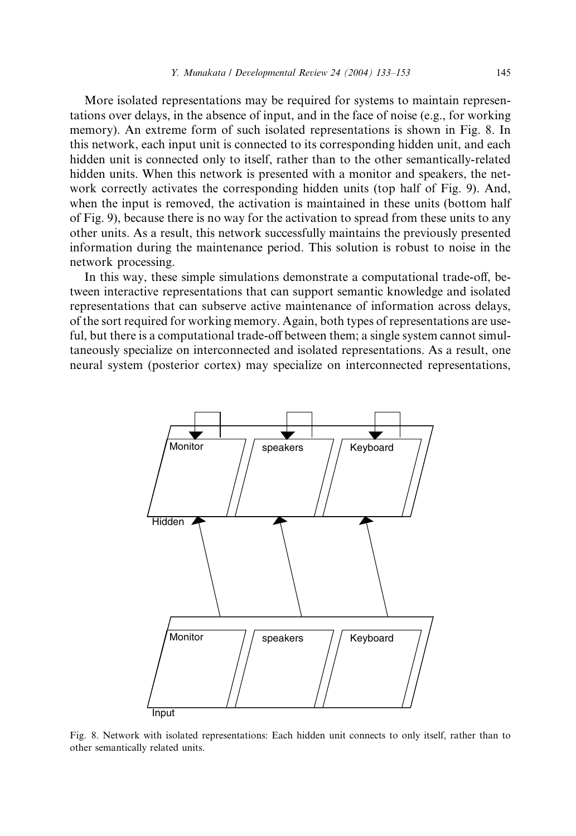More isolated representations may be required for systems to maintain representations over delays, in the absence of input, and in the face of noise (e.g., for working memory). An extreme form of such isolated representations is shown in Fig. 8. In this network, each input unit is connected to its corresponding hidden unit, and each hidden unit is connected only to itself, rather than to the other semantically-related hidden units. When this network is presented with a monitor and speakers, the network correctly activates the corresponding hidden units (top half of Fig. 9). And, when the input is removed, the activation is maintained in these units (bottom half of Fig. 9), because there is no way for the activation to spread from these units to any other units. As a result, this network successfully maintains the previously presented information during the maintenance period. This solution is robust to noise in the network processing.

In this way, these simple simulations demonstrate a computational trade-off, between interactive representations that can support semantic knowledge and isolated representations that can subserve active maintenance of information across delays, of the sort required for working memory. Again, both types of representations are useful, but there is a computational trade-off between them; a single system cannot simultaneously specialize on interconnected and isolated representations. As a result, one neural system (posterior cortex) may specialize on interconnected representations,



Fig. 8. Network with isolated representations: Each hidden unit connects to only itself, rather than to other semantically related units.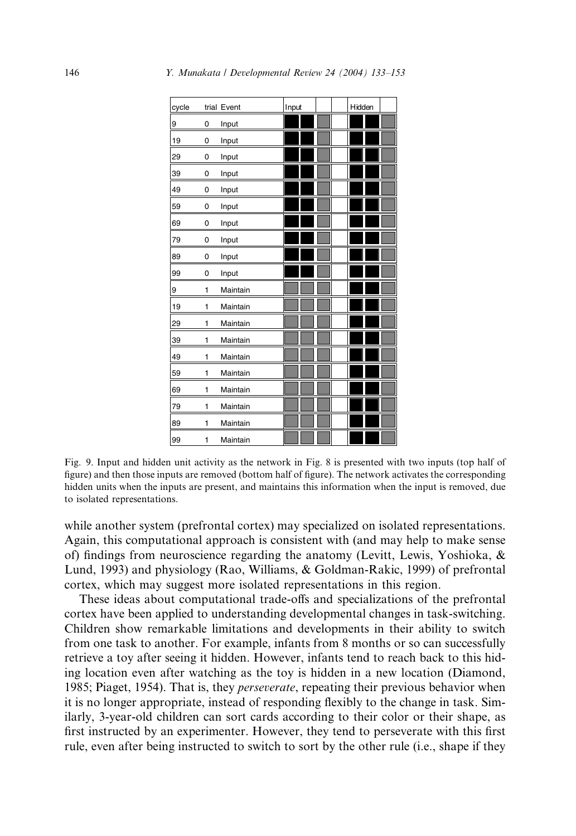| cycle |   | trial Event | Input | Hidden |
|-------|---|-------------|-------|--------|
| 9     | 0 | Input       |       |        |
| 19    | 0 | Input       |       |        |
| 29    | 0 | Input       |       |        |
| 39    | 0 | Input       |       |        |
| 49    | 0 | Input       |       |        |
| 59    | 0 | Input       |       |        |
| 69    | 0 | Input       |       |        |
| 79    | 0 | Input       |       |        |
| 89    | 0 | Input       |       |        |
| 99    | 0 | Input       |       |        |
| 9     | 1 | Maintain    |       |        |
| 19    | 1 | Maintain    |       |        |
| 29    | 1 | Maintain    |       |        |
| 39    | 1 | Maintain    |       |        |
| 49    | 1 | Maintain    |       |        |
| 59    | 1 | Maintain    |       |        |
| 69    | 1 | Maintain    |       |        |
| 79    | 1 | Maintain    |       |        |
| 89    | 1 | Maintain    |       |        |
| 99    | 1 | Maintain    |       |        |

Fig. 9. Input and hidden unit activity as the network in Fig. 8 is presented with two inputs (top half of figure) and then those inputs are removed (bottom half of figure). The network activates the corresponding hidden units when the inputs are present, and maintains this information when the input is removed, due to isolated representations.

while another system (prefrontal cortex) may specialized on isolated representations. Again, this computational approach is consistent with (and may help to make sense of) findings from neuroscience regarding the anatomy (Levitt, Lewis, Yoshioka, & Lund, 1993) and physiology (Rao, Williams, & Goldman-Rakic, 1999) of prefrontal cortex, which may suggest more isolated representations in this region.

These ideas about computational trade-offs and specializations of the prefrontal cortex have been applied to understanding developmental changes in task-switching. Children show remarkable limitations and developments in their ability to switch from one task to another. For example, infants from 8 months or so can successfully retrieve a toy after seeing it hidden. However, infants tend to reach back to this hiding location even after watching as the toy is hidden in a new location (Diamond, 1985; Piaget, 1954). That is, they *perseverate*, repeating their previous behavior when it is no longer appropriate, instead of responding flexibly to the change in task. Similarly, 3-year-old children can sort cards according to their color or their shape, as first instructed by an experimenter. However, they tend to perseverate with this first rule, even after being instructed to switch to sort by the other rule (i.e., shape if they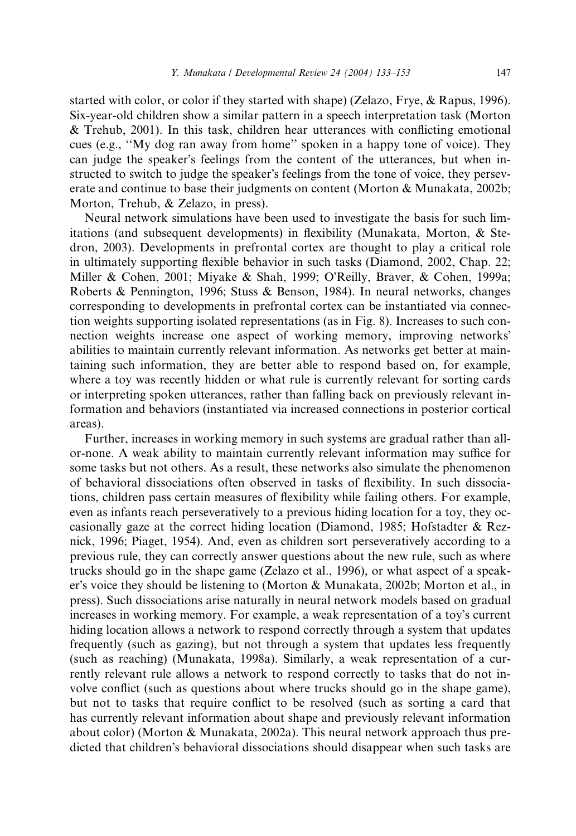started with color, or color if they started with shape) (Zelazo, Frye, & Rapus, 1996). Six-year-old children show a similar pattern in a speech interpretation task (Morton & Trehub, 2001). In this task, children hear utterances with conflicting emotional cues (e.g., ''My dog ran away from home'' spoken in a happy tone of voice). They can judge the speaker's feelings from the content of the utterances, but when instructed to switch to judge the speaker's feelings from the tone of voice, they perseverate and continue to base their judgments on content (Morton & Munakata, 2002b; Morton, Trehub, & Zelazo, in press).

Neural network simulations have been used to investigate the basis for such limitations (and subsequent developments) in flexibility (Munakata, Morton, & Stedron, 2003). Developments in prefrontal cortex are thought to play a critical role in ultimately supporting flexible behavior in such tasks (Diamond, 2002, Chap. 22; Miller & Cohen, 2001; Miyake & Shah, 1999; O'Reilly, Braver, & Cohen, 1999a; Roberts & Pennington, 1996; Stuss & Benson, 1984). In neural networks, changes corresponding to developments in prefrontal cortex can be instantiated via connection weights supporting isolated representations (as in Fig. 8). Increases to such connection weights increase one aspect of working memory, improving networks abilities to maintain currently relevant information. As networks get better at maintaining such information, they are better able to respond based on, for example, where a toy was recently hidden or what rule is currently relevant for sorting cards or interpreting spoken utterances, rather than falling back on previously relevant information and behaviors (instantiated via increased connections in posterior cortical areas).

Further, increases in working memory in such systems are gradual rather than allor-none. A weak ability to maintain currently relevant information may suffice for some tasks but not others. As a result, these networks also simulate the phenomenon of behavioral dissociations often observed in tasks of flexibility. In such dissociations, children pass certain measures of flexibility while failing others. For example, even as infants reach perseveratively to a previous hiding location for a toy, they occasionally gaze at the correct hiding location (Diamond, 1985; Hofstadter & Reznick, 1996; Piaget, 1954). And, even as children sort perseveratively according to a previous rule, they can correctly answer questions about the new rule, such as where trucks should go in the shape game (Zelazo et al., 1996), or what aspect of a speaker's voice they should be listening to (Morton & Munakata, 2002b; Morton et al., in press). Such dissociations arise naturally in neural network models based on gradual increases in working memory. For example, a weak representation of a toy's current hiding location allows a network to respond correctly through a system that updates frequently (such as gazing), but not through a system that updates less frequently (such as reaching) (Munakata, 1998a). Similarly, a weak representation of a currently relevant rule allows a network to respond correctly to tasks that do not involve conflict (such as questions about where trucks should go in the shape game), but not to tasks that require conflict to be resolved (such as sorting a card that has currently relevant information about shape and previously relevant information about color) (Morton & Munakata, 2002a). This neural network approach thus predicted that children's behavioral dissociations should disappear when such tasks are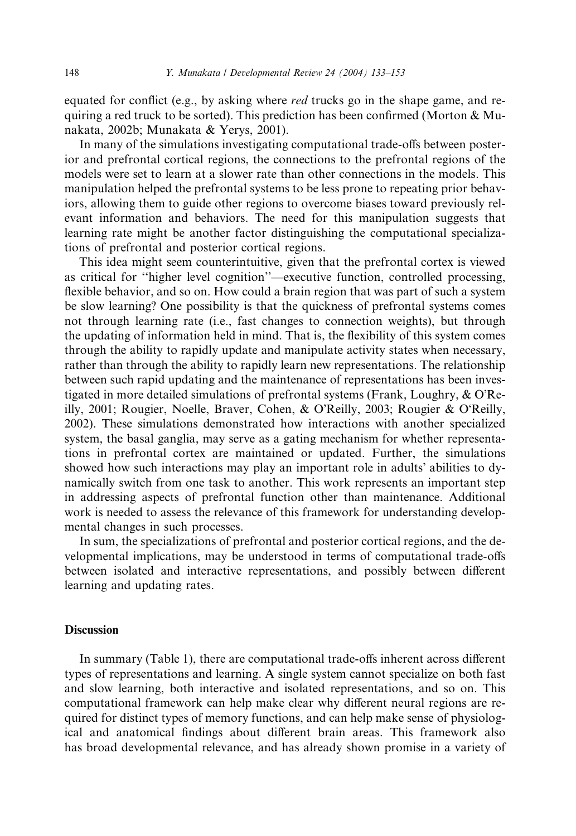equated for conflict (e.g., by asking where *red* trucks go in the shape game, and requiring a red truck to be sorted). This prediction has been confirmed (Morton  $\&$  Munakata, 2002b; Munakata & Yerys, 2001).

In many of the simulations investigating computational trade-offs between posterior and prefrontal cortical regions, the connections to the prefrontal regions of the models were set to learn at a slower rate than other connections in the models. This manipulation helped the prefrontal systems to be less prone to repeating prior behaviors, allowing them to guide other regions to overcome biases toward previously relevant information and behaviors. The need for this manipulation suggests that learning rate might be another factor distinguishing the computational specializations of prefrontal and posterior cortical regions.

This idea might seem counterintuitive, given that the prefrontal cortex is viewed as critical for ''higher level cognition''—executive function, controlled processing, flexible behavior, and so on. How could a brain region that was part of such a system be slow learning? One possibility is that the quickness of prefrontal systems comes not through learning rate (i.e., fast changes to connection weights), but through the updating of information held in mind. That is, the flexibility of this system comes through the ability to rapidly update and manipulate activity states when necessary, rather than through the ability to rapidly learn new representations. The relationship between such rapid updating and the maintenance of representations has been investigated in more detailed simulations of prefrontal systems (Frank, Loughry, & OReilly, 2001; Rougier, Noelle, Braver, Cohen, & O'Reilly, 2003; Rougier & O'Reilly, 2002). These simulations demonstrated how interactions with another specialized system, the basal ganglia, may serve as a gating mechanism for whether representations in prefrontal cortex are maintained or updated. Further, the simulations showed how such interactions may play an important role in adults' abilities to dynamically switch from one task to another. This work represents an important step in addressing aspects of prefrontal function other than maintenance. Additional work is needed to assess the relevance of this framework for understanding developmental changes in such processes.

In sum, the specializations of prefrontal and posterior cortical regions, and the developmental implications, may be understood in terms of computational trade-offs between isolated and interactive representations, and possibly between different learning and updating rates.

### **Discussion**

In summary (Table 1), there are computational trade-offs inherent across different types of representations and learning. A single system cannot specialize on both fast and slow learning, both interactive and isolated representations, and so on. This computational framework can help make clear why different neural regions are required for distinct types of memory functions, and can help make sense of physiological and anatomical findings about different brain areas. This framework also has broad developmental relevance, and has already shown promise in a variety of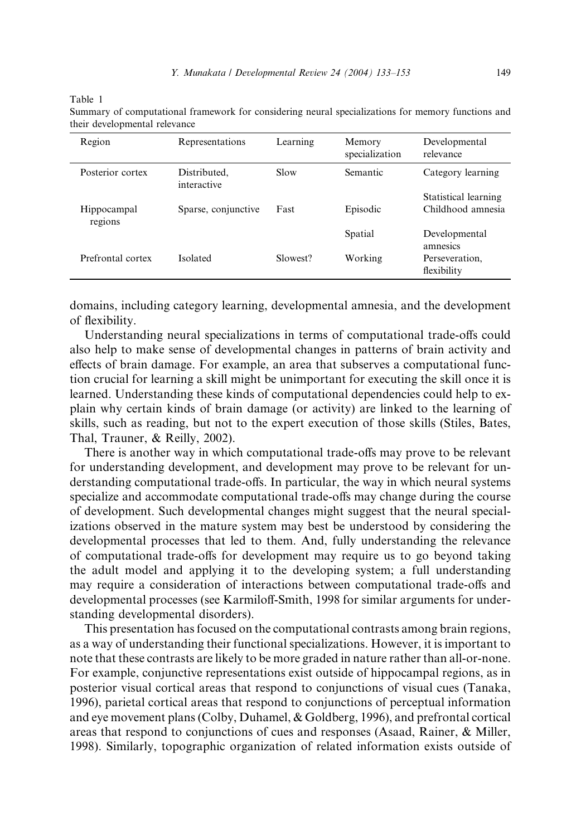Table 1

Summary of computational framework for considering neural specializations for memory functions and their developmental relevance

| Region                 | Representations             | Learning | Memory<br>specialization | Developmental<br>relevance    |
|------------------------|-----------------------------|----------|--------------------------|-------------------------------|
| Posterior cortex       | Distributed,<br>interactive | Slow     | Semantic                 | Category learning             |
|                        |                             |          |                          | Statistical learning          |
| Hippocampal<br>regions | Sparse, conjunctive         | Fast     | Episodic                 | Childhood amnesia             |
|                        |                             |          | Spatial                  | Developmental<br>amnesics     |
| Prefrontal cortex      | Isolated                    | Slowest? | Working                  | Perseveration.<br>flexibility |

domains, including category learning, developmental amnesia, and the development of flexibility.

Understanding neural specializations in terms of computational trade-offs could also help to make sense of developmental changes in patterns of brain activity and effects of brain damage. For example, an area that subserves a computational function crucial for learning a skill might be unimportant for executing the skill once it is learned. Understanding these kinds of computational dependencies could help to explain why certain kinds of brain damage (or activity) are linked to the learning of skills, such as reading, but not to the expert execution of those skills (Stiles, Bates, Thal, Trauner, & Reilly, 2002).

There is another way in which computational trade-offs may prove to be relevant for understanding development, and development may prove to be relevant for understanding computational trade-offs. In particular, the way in which neural systems specialize and accommodate computational trade-offs may change during the course of development. Such developmental changes might suggest that the neural specializations observed in the mature system may best be understood by considering the developmental processes that led to them. And, fully understanding the relevance of computational trade-offs for development may require us to go beyond taking the adult model and applying it to the developing system; a full understanding may require a consideration of interactions between computational trade-offs and developmental processes (see Karmiloff-Smith, 1998 for similar arguments for understanding developmental disorders).

This presentation has focused on the computational contrasts among brain regions, as a way of understanding their functional specializations. However, it is important to note that these contrasts are likely to be more graded in nature rather than all-or-none. For example, conjunctive representations exist outside of hippocampal regions, as in posterior visual cortical areas that respond to conjunctions of visual cues (Tanaka, 1996), parietal cortical areas that respond to conjunctions of perceptual information and eye movement plans (Colby, Duhamel, & Goldberg, 1996), and prefrontal cortical areas that respond to conjunctions of cues and responses (Asaad, Rainer, & Miller, 1998). Similarly, topographic organization of related information exists outside of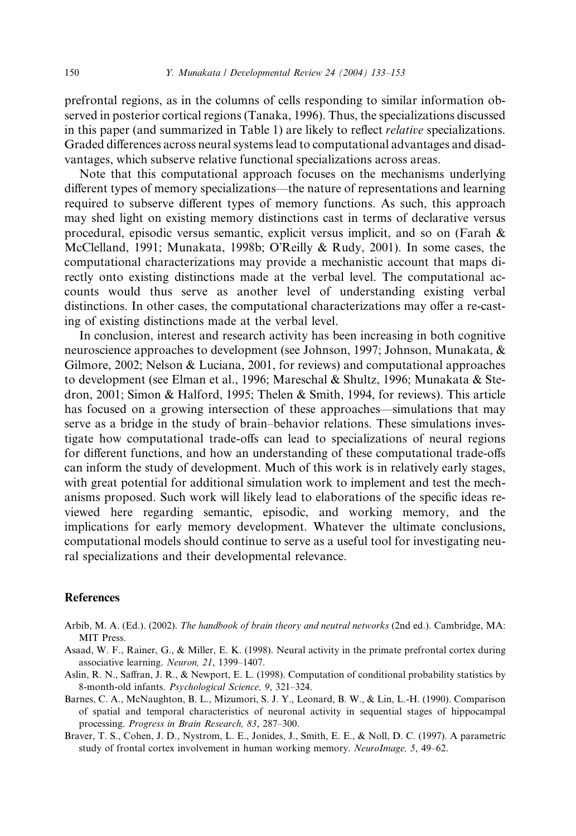prefrontal regions, as in the columns of cells responding to similar information observed in posterior cortical regions (Tanaka, 1996). Thus, the specializations discussed in this paper (and summarized in Table 1) are likely to reflect relative specializations. Graded differences across neural systems lead to computational advantages and disadvantages, which subserve relative functional specializations across areas.

Note that this computational approach focuses on the mechanisms underlying different types of memory specializations—the nature of representations and learning required to subserve different types of memory functions. As such, this approach may shed light on existing memory distinctions cast in terms of declarative versus procedural, episodic versus semantic, explicit versus implicit, and so on (Farah & McClelland, 1991; Munakata, 1998b; OReilly & Rudy, 2001). In some cases, the computational characterizations may provide a mechanistic account that maps directly onto existing distinctions made at the verbal level. The computational accounts would thus serve as another level of understanding existing verbal distinctions. In other cases, the computational characterizations may offer a re-casting of existing distinctions made at the verbal level.

In conclusion, interest and research activity has been increasing in both cognitive neuroscience approaches to development (see Johnson, 1997; Johnson, Munakata, & Gilmore, 2002; Nelson & Luciana, 2001, for reviews) and computational approaches to development (see Elman et al., 1996; Mareschal & Shultz, 1996; Munakata & Stedron, 2001; Simon & Halford, 1995; Thelen & Smith, 1994, for reviews). This article has focused on a growing intersection of these approaches—simulations that may serve as a bridge in the study of brain–behavior relations. These simulations investigate how computational trade-offs can lead to specializations of neural regions for different functions, and how an understanding of these computational trade-offs can inform the study of development. Much of this work is in relatively early stages, with great potential for additional simulation work to implement and test the mechanisms proposed. Such work will likely lead to elaborations of the specific ideas reviewed here regarding semantic, episodic, and working memory, and the implications for early memory development. Whatever the ultimate conclusions, computational models should continue to serve as a useful tool for investigating neural specializations and their developmental relevance.

# References

- Arbib, M. A. (Ed.). (2002). The handbook of brain theory and neutral networks (2nd ed.). Cambridge, MA: MIT Press.
- Asaad, W. F., Rainer, G., & Miller, E. K. (1998). Neural activity in the primate prefrontal cortex during associative learning. Neuron, 21, 1399–1407.
- Aslin, R. N., Saffran, J. R., & Newport, E. L. (1998). Computation of conditional probability statistics by 8-month-old infants. Psychological Science, 9, 321–324.
- Barnes, C. A., McNaughton, B. L., Mizumori, S. J. Y., Leonard, B. W., & Lin, L.-H. (1990). Comparison of spatial and temporal characteristics of neuronal activity in sequential stages of hippocampal processing. Progress in Brain Research, 83, 287–300.
- Braver, T. S., Cohen, J. D., Nystrom, L. E., Jonides, J., Smith, E. E., & Noll, D. C. (1997). A parametric study of frontal cortex involvement in human working memory. NeuroImage, 5, 49–62.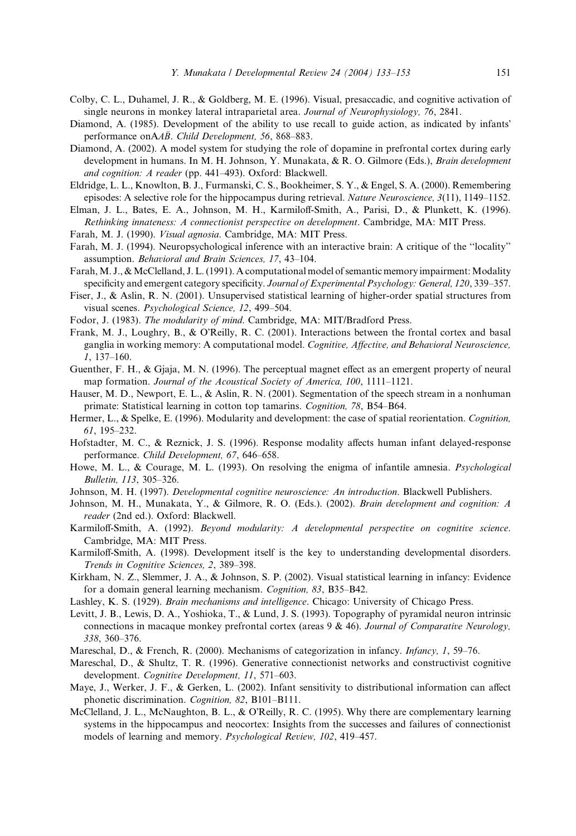- Colby, C. L., Duhamel, J. R., & Goldberg, M. E. (1996). Visual, presaccadic, and cognitive activation of single neurons in monkey lateral intraparietal area. Journal of Neurophysiology, 76, 2841.
- Diamond, A. (1985). Development of the ability to use recall to guide action, as indicated by infants performance on AAB. Child Development, 56, 868-883.
- Diamond, A. (2002). A model system for studying the role of dopamine in prefrontal cortex during early development in humans. In M. H. Johnson, Y. Munakata, & R. O. Gilmore (Eds.), *Brain development* and cognition: A reader (pp. 441–493). Oxford: Blackwell.
- Eldridge, L. L., Knowlton, B. J., Furmanski, C. S., Bookheimer, S. Y., & Engel, S. A. (2000). Remembering episodes: A selective role for the hippocampus during retrieval. Nature Neuroscience,  $3(11)$ ,  $1149-1152$ .
- Elman, J. L., Bates, E. A., Johnson, M. H., Karmiloff-Smith, A., Parisi, D., & Plunkett, K. (1996). Rethinking innateness: A connectionist perspective on development. Cambridge, MA: MIT Press.
- Farah, M. J. (1990). Visual agnosia. Cambridge, MA: MIT Press.
- Farah, M. J. (1994). Neuropsychological inference with an interactive brain: A critique of the ''locality'' assumption. Behavioral and Brain Sciences, 17, 43–104.
- Farah, M. J., & McClelland, J. L. (1991). A computational model of semantic memory impairment: Modality specificity and emergent category specificity. Journal of Experimental Psychology: General, 120, 339–357.
- Fiser, J., & Aslin, R. N. (2001). Unsupervised statistical learning of higher-order spatial structures from visual scenes. Psychological Science, 12, 499–504.
- Fodor, J. (1983). The modularity of mind. Cambridge, MA: MIT/Bradford Press.
- Frank, M. J., Loughry, B., & OReilly, R. C. (2001). Interactions between the frontal cortex and basal ganglia in working memory: A computational model. Cognitive, Affective, and Behavioral Neuroscience, 1, 137–160.
- Guenther, F. H., & Gjaja, M. N. (1996). The perceptual magnet effect as an emergent property of neural map formation. Journal of the Acoustical Society of America, 100, 1111-1121.
- Hauser, M. D., Newport, E. L., & Aslin, R. N. (2001). Segmentation of the speech stream in a nonhuman primate: Statistical learning in cotton top tamarins. Cognition, 78, B54–B64.
- Hermer, L., & Spelke, E. (1996). Modularity and development: the case of spatial reorientation. Cognition, 61, 195–232.
- Hofstadter, M. C., & Reznick, J. S. (1996). Response modality affects human infant delayed-response performance. Child Development, 67, 646–658.
- Howe, M. L., & Courage, M. L. (1993). On resolving the enigma of infantile amnesia. *Psychological* Bulletin, 113, 305–326.
- Johnson, M. H. (1997). *Developmental cognitive neuroscience: An introduction*. Blackwell Publishers.
- Johnson, M. H., Munakata, Y., & Gilmore, R. O. (Eds.). (2002). Brain development and cognition: A reader (2nd ed.). Oxford: Blackwell.
- Karmiloff-Smith, A. (1992). Beyond modularity: A developmental perspective on cognitive science. Cambridge, MA: MIT Press.
- Karmiloff-Smith, A. (1998). Development itself is the key to understanding developmental disorders. Trends in Cognitive Sciences, 2, 389–398.
- Kirkham, N. Z., Slemmer, J. A., & Johnson, S. P. (2002). Visual statistical learning in infancy: Evidence for a domain general learning mechanism. Cognition, 83, B35–B42.
- Lashley, K. S. (1929). Brain mechanisms and intelligence. Chicago: University of Chicago Press.
- Levitt, J. B., Lewis, D. A., Yoshioka, T., & Lund, J. S. (1993). Topography of pyramidal neuron intrinsic connections in macaque monkey prefrontal cortex (areas  $9 \& 46$ ). Journal of Comparative Neurology, 338, 360–376.
- Mareschal, D., & French, R. (2000). Mechanisms of categorization in infancy. *Infancy*, 1, 59–76.
- Mareschal, D., & Shultz, T. R. (1996). Generative connectionist networks and constructivist cognitive development. Cognitive Development, 11, 571–603.
- Maye, J., Werker, J. F., & Gerken, L. (2002). Infant sensitivity to distributional information can affect phonetic discrimination. Cognition, 82, B101–B111.
- McClelland, J. L., McNaughton, B. L., & O'Reilly, R. C. (1995). Why there are complementary learning systems in the hippocampus and neocortex: Insights from the successes and failures of connectionist models of learning and memory. Psychological Review, 102, 419–457.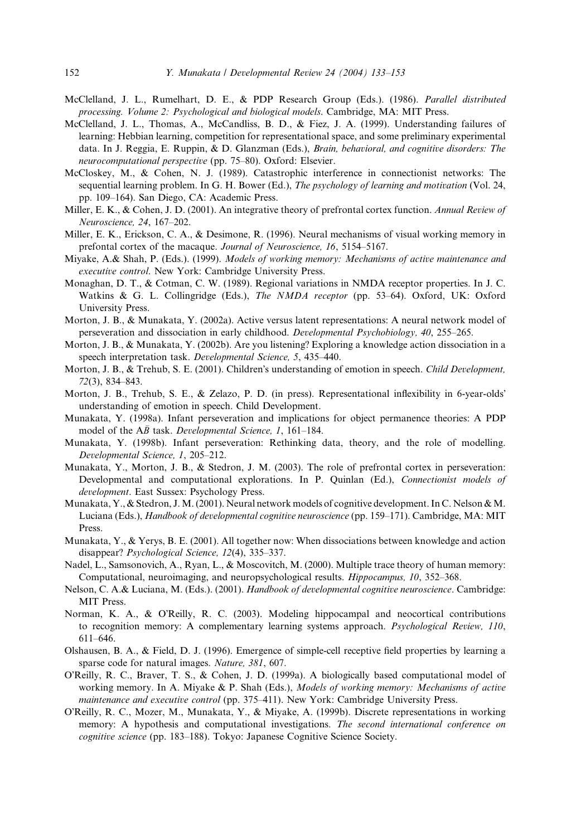- McClelland, J. L., Rumelhart, D. E., & PDP Research Group (Eds.). (1986). Parallel distributed processing. Volume 2: Psychological and biological models. Cambridge, MA: MIT Press.
- McClelland, J. L., Thomas, A., McCandliss, B. D., & Fiez, J. A. (1999). Understanding failures of learning: Hebbian learning, competition for representational space, and some preliminary experimental data. In J. Reggia, E. Ruppin, & D. Glanzman (Eds.), Brain, behavioral, and cognitive disorders: The neurocomputational perspective (pp. 75–80). Oxford: Elsevier.
- McCloskey, M., & Cohen, N. J. (1989). Catastrophic interference in connectionist networks: The sequential learning problem. In G. H. Bower (Ed.), The psychology of learning and motivation (Vol. 24, pp. 109–164). San Diego, CA: Academic Press.
- Miller, E. K., & Cohen, J. D. (2001). An integrative theory of prefrontal cortex function. Annual Review of Neuroscience, 24, 167–202.
- Miller, E. K., Erickson, C. A., & Desimone, R. (1996). Neural mechanisms of visual working memory in prefontal cortex of the macaque. Journal of Neuroscience, 16, 5154–5167.
- Miyake, A.& Shah, P. (Eds.). (1999). Models of working memory: Mechanisms of active maintenance and executive control. New York: Cambridge University Press.
- Monaghan, D. T., & Cotman, C. W. (1989). Regional variations in NMDA receptor properties. In J. C. Watkins & G. L. Collingridge (Eds.), *The NMDA receptor* (pp. 53-64). Oxford, UK: Oxford University Press.
- Morton, J. B., & Munakata, Y. (2002a). Active versus latent representations: A neural network model of perseveration and dissociation in early childhood. Developmental Psychobiology, 40, 255–265.
- Morton, J. B., & Munakata, Y. (2002b). Are you listening? Exploring a knowledge action dissociation in a speech interpretation task. Developmental Science, 5, 435–440.
- Morton, J. B., & Trehub, S. E. (2001). Children's understanding of emotion in speech. Child Development, 72(3), 834–843.
- Morton, J. B., Trehub, S. E., & Zelazo, P. D. (in press). Representational inflexibility in 6-year-olds understanding of emotion in speech. Child Development.
- Munakata, Y. (1998a). Infant perseveration and implications for object permanence theories: A PDP model of the AB task. Developmental Science, 1, 161-184.
- Munakata, Y. (1998b). Infant perseveration: Rethinking data, theory, and the role of modelling. Developmental Science, 1, 205–212.
- Munakata, Y., Morton, J. B., & Stedron, J. M. (2003). The role of prefrontal cortex in perseveration: Developmental and computational explorations. In P. Quinlan (Ed.), Connectionist models of development. East Sussex: Psychology Press.
- Munakata, Y., & Stedron, J.M. (2001). Neural network models of cognitive development. In C. Nelson & M. Luciana (Eds.), Handbook of developmental cognitive neuroscience (pp. 159–171). Cambridge, MA: MIT Press.
- Munakata, Y., & Yerys, B. E. (2001). All together now: When dissociations between knowledge and action disappear? Psychological Science, 12(4), 335–337.
- Nadel, L., Samsonovich, A., Ryan, L., & Moscovitch, M. (2000). Multiple trace theory of human memory: Computational, neuroimaging, and neuropsychological results. Hippocampus, 10, 352–368.
- Nelson, C. A.& Luciana, M. (Eds.). (2001). Handbook of developmental cognitive neuroscience. Cambridge: MIT Press.
- Norman, K. A.,  $\&$  O'Reilly, R. C. (2003). Modeling hippocampal and neocortical contributions to recognition memory: A complementary learning systems approach. Psychological Review, 110, 611–646.
- Olshausen, B. A., & Field, D. J. (1996). Emergence of simple-cell receptive field properties by learning a sparse code for natural images. Nature, 381, 607.
- O'Reilly, R. C., Braver, T. S., & Cohen, J. D. (1999a). A biologically based computational model of working memory. In A. Miyake & P. Shah (Eds.), *Models of working memory: Mechanisms of active* maintenance and executive control (pp. 375-411). New York: Cambridge University Press.
- O'Reilly, R. C., Mozer, M., Munakata, Y., & Miyake, A. (1999b). Discrete representations in working memory: A hypothesis and computational investigations. The second international conference on cognitive science (pp. 183–188). Tokyo: Japanese Cognitive Science Society.